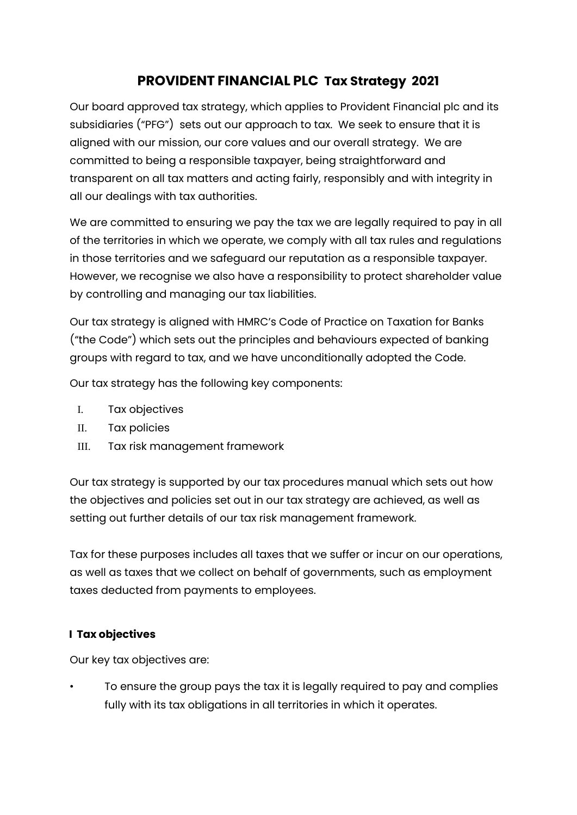# **PROVIDENT FINANCIAL PLC Tax Strategy 2021**

Our board approved tax strategy, which applies to Provident Financial plc and its subsidiaries ("PFG") sets out our approach to tax. We seek to ensure that it is aligned with our mission, our core values and our overall strategy. We are committed to being a responsible taxpayer, being straightforward and transparent on all tax matters and acting fairly, responsibly and with integrity in all our dealings with tax authorities.

We are committed to ensuring we pay the tax we are legally required to pay in all of the territories in which we operate, we comply with all tax rules and regulations in those territories and we safeguard our reputation as a responsible taxpayer. However, we recognise we also have a responsibility to protect shareholder value by controlling and managing our tax liabilities.

Our tax strategy is aligned with HMRC's Code of Practice on Taxation for Banks ("the Code") which sets out the principles and behaviours expected of banking groups with regard to tax, and we have unconditionally adopted the Code.

Our tax strategy has the following key components:

- I. Tax objectives
- II. Tax policies
- III. Tax risk management framework

Our tax strategy is supported by our tax procedures manual which sets out how the objectives and policies set out in our tax strategy are achieved, as well as setting out further details of our tax risk management framework.

Tax for these purposes includes all taxes that we suffer or incur on our operations, as well as taxes that we collect on behalf of governments, such as employment taxes deducted from payments to employees.

## **I Tax objectives**

Our key tax objectives are:

• To ensure the group pays the tax it is legally required to pay and complies fully with its tax obligations in all territories in which it operates.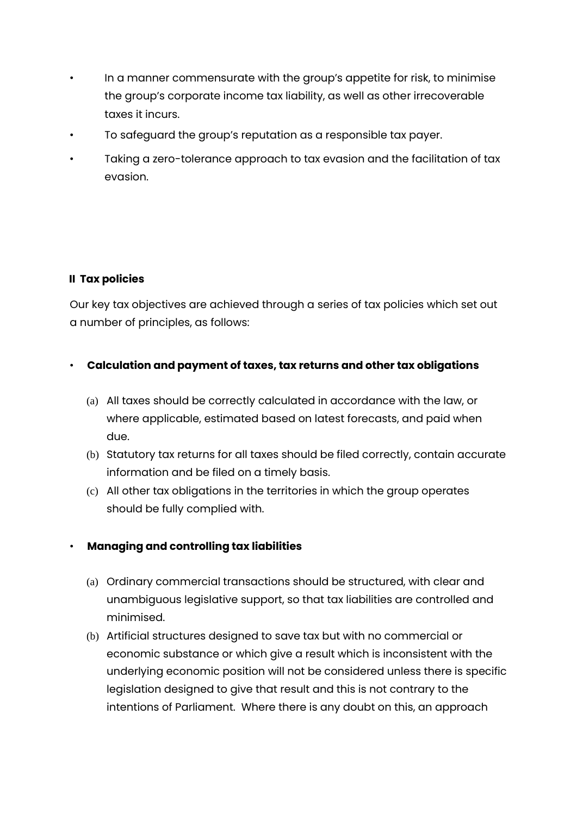- In a manner commensurate with the group's appetite for risk, to minimise the group's corporate income tax liability, as well as other irrecoverable taxes it incurs.
- To safeguard the group's reputation as a responsible tax payer.
- Taking a zero-tolerance approach to tax evasion and the facilitation of tax evasion.

#### **II Tax policies**

Our key tax objectives are achieved through a series of tax policies which set out a number of principles, as follows:

#### • **Calculation and payment of taxes, tax returns and other tax obligations**

- (a) All taxes should be correctly calculated in accordance with the law, or where applicable, estimated based on latest forecasts, and paid when due.
- (b) Statutory tax returns for all taxes should be filed correctly, contain accurate information and be filed on a timely basis.
- (c) All other tax obligations in the territories in which the group operates should be fully complied with.

## • **Managing and controlling tax liabilities**

- (a) Ordinary commercial transactions should be structured, with clear and unambiguous legislative support, so that tax liabilities are controlled and minimised.
- (b) Artificial structures designed to save tax but with no commercial or economic substance or which give a result which is inconsistent with the underlying economic position will not be considered unless there is specific legislation designed to give that result and this is not contrary to the intentions of Parliament. Where there is any doubt on this, an approach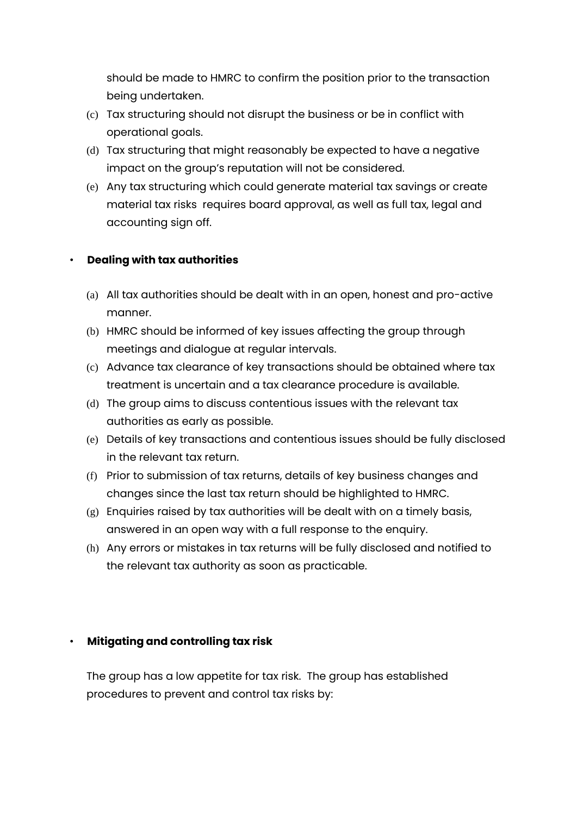should be made to HMRC to confirm the position prior to the transaction being undertaken.

- (c) Tax structuring should not disrupt the business or be in conflict with operational goals.
- (d) Tax structuring that might reasonably be expected to have a negative impact on the group's reputation will not be considered.
- (e) Any tax structuring which could generate material tax savings or create material tax risks requires board approval, as well as full tax, legal and accounting sign off.

#### • **Dealing with tax authorities**

- (a) All tax authorities should be dealt with in an open, honest and pro-active manner.
- (b) HMRC should be informed of key issues affecting the group through meetings and dialogue at regular intervals.
- (c) Advance tax clearance of key transactions should be obtained where tax treatment is uncertain and a tax clearance procedure is available.
- (d) The group aims to discuss contentious issues with the relevant tax authorities as early as possible.
- (e) Details of key transactions and contentious issues should be fully disclosed in the relevant tax return.
- (f) Prior to submission of tax returns, details of key business changes and changes since the last tax return should be highlighted to HMRC.
- (g) Enquiries raised by tax authorities will be dealt with on a timely basis, answered in an open way with a full response to the enquiry.
- (h) Any errors or mistakes in tax returns will be fully disclosed and notified to the relevant tax authority as soon as practicable.

## • **Mitigating and controlling tax risk**

The group has a low appetite for tax risk. The group has established procedures to prevent and control tax risks by: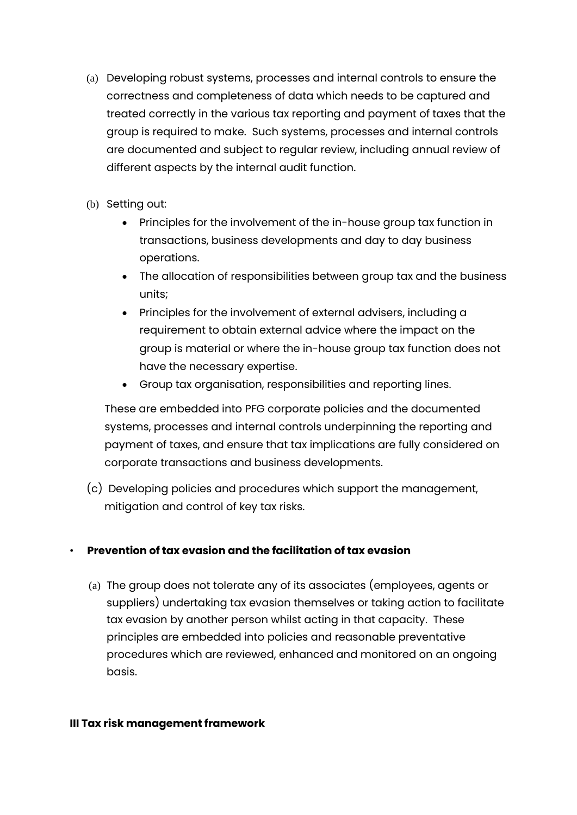- (a) Developing robust systems, processes and internal controls to ensure the correctness and completeness of data which needs to be captured and treated correctly in the various tax reporting and payment of taxes that the group is required to make. Such systems, processes and internal controls are documented and subject to regular review, including annual review of different aspects by the internal audit function.
- (b) Setting out:
	- Principles for the involvement of the in-house group tax function in transactions, business developments and day to day business operations.
	- The allocation of responsibilities between group tax and the business units;
	- Principles for the involvement of external advisers, including a requirement to obtain external advice where the impact on the group is material or where the in-house group tax function does not have the necessary expertise.
	- Group tax organisation, responsibilities and reporting lines.

These are embedded into PFG corporate policies and the documented systems, processes and internal controls underpinning the reporting and payment of taxes, and ensure that tax implications are fully considered on corporate transactions and business developments.

(c) Developing policies and procedures which support the management, mitigation and control of key tax risks.

## • **Prevention of tax evasion and the facilitation of tax evasion**

(a) The group does not tolerate any of its associates (employees, agents or suppliers) undertaking tax evasion themselves or taking action to facilitate tax evasion by another person whilst acting in that capacity. These principles are embedded into policies and reasonable preventative procedures which are reviewed, enhanced and monitored on an ongoing basis.

#### **III Tax risk management framework**